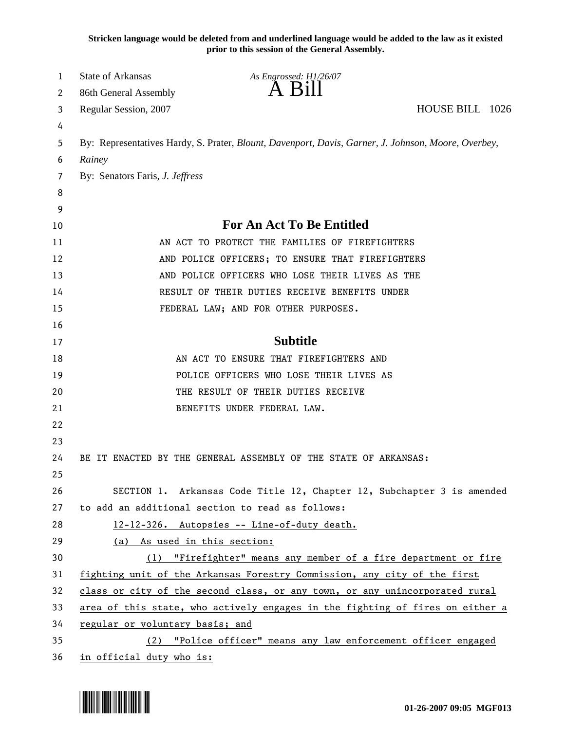**Stricken language would be deleted from and underlined language would be added to the law as it existed prior to this session of the General Assembly.**

| 1      | <b>State of Arkansas</b>                                                      | As Engrossed: H1/26/07<br>A Bill                                                                    |                 |  |
|--------|-------------------------------------------------------------------------------|-----------------------------------------------------------------------------------------------------|-----------------|--|
| 2      | 86th General Assembly                                                         |                                                                                                     | HOUSE BILL 1026 |  |
| 3<br>4 | Regular Session, 2007                                                         |                                                                                                     |                 |  |
| 5      |                                                                               | By: Representatives Hardy, S. Prater, Blount, Davenport, Davis, Garner, J. Johnson, Moore, Overbey, |                 |  |
| 6      | Rainey                                                                        |                                                                                                     |                 |  |
| 7      | By: Senators Faris, J. Jeffress                                               |                                                                                                     |                 |  |
| 8      |                                                                               |                                                                                                     |                 |  |
| 9      |                                                                               |                                                                                                     |                 |  |
| 10     |                                                                               | <b>For An Act To Be Entitled</b>                                                                    |                 |  |
| 11     |                                                                               | AN ACT TO PROTECT THE FAMILIES OF FIREFIGHTERS                                                      |                 |  |
| 12     |                                                                               | AND POLICE OFFICERS; TO ENSURE THAT FIREFIGHTERS                                                    |                 |  |
| 13     |                                                                               | AND POLICE OFFICERS WHO LOSE THEIR LIVES AS THE                                                     |                 |  |
| 14     |                                                                               | RESULT OF THEIR DUTIES RECEIVE BENEFITS UNDER                                                       |                 |  |
| 15     |                                                                               | FEDERAL LAW; AND FOR OTHER PURPOSES.                                                                |                 |  |
| 16     |                                                                               |                                                                                                     |                 |  |
| 17     |                                                                               | <b>Subtitle</b>                                                                                     |                 |  |
| 18     |                                                                               | AN ACT TO ENSURE THAT FIREFIGHTERS AND                                                              |                 |  |
| 19     |                                                                               | POLICE OFFICERS WHO LOSE THEIR LIVES AS                                                             |                 |  |
| 20     |                                                                               | THE RESULT OF THEIR DUTIES RECEIVE                                                                  |                 |  |
| 21     |                                                                               | BENEFITS UNDER FEDERAL LAW.                                                                         |                 |  |
| 22     |                                                                               |                                                                                                     |                 |  |
| 23     |                                                                               |                                                                                                     |                 |  |
| 24     |                                                                               | BE IT ENACTED BY THE GENERAL ASSEMBLY OF THE STATE OF ARKANSAS:                                     |                 |  |
| 25     |                                                                               |                                                                                                     |                 |  |
| 26     |                                                                               | SECTION 1. Arkansas Code Title 12, Chapter 12, Subchapter 3 is amended                              |                 |  |
| 27     |                                                                               | to add an additional section to read as follows:                                                    |                 |  |
| 28     |                                                                               | 12-12-326. Autopsies -- Line-of-duty death.                                                         |                 |  |
| 29     | (a) As used in this section:                                                  |                                                                                                     |                 |  |
| 30     |                                                                               | (1) "Firefighter" means any member of a fire department or fire                                     |                 |  |
| 31     |                                                                               | fighting unit of the Arkansas Forestry Commission, any city of the first                            |                 |  |
| 32     |                                                                               | class or city of the second class, or any town, or any unincorporated rural                         |                 |  |
| 33     | area of this state, who actively engages in the fighting of fires on either a |                                                                                                     |                 |  |
| 34     | regular or voluntary basis; and                                               |                                                                                                     |                 |  |
| 35     |                                                                               | (2) "Police officer" means any law enforcement officer engaged                                      |                 |  |
| 36     | in official duty who is:                                                      |                                                                                                     |                 |  |

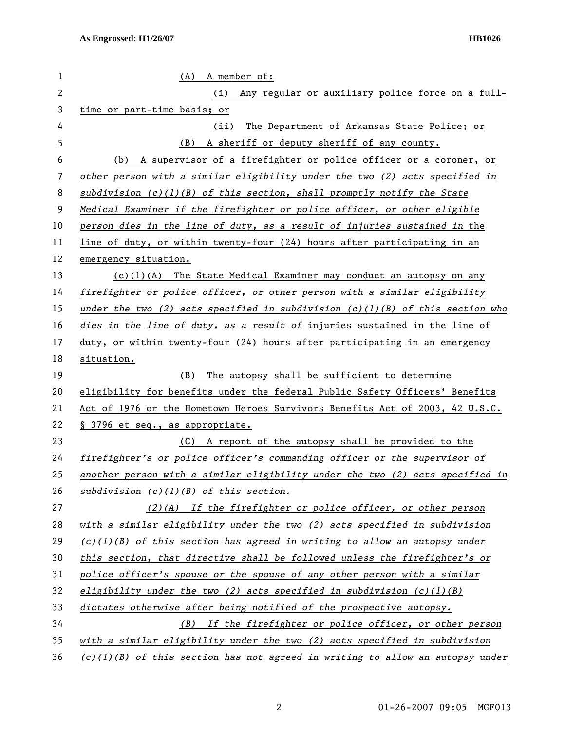| 1            | $(A)$ A member of:                                                              |  |  |
|--------------|---------------------------------------------------------------------------------|--|--|
| $\mathbf{2}$ | Any regular or auxiliary police force on a full-<br>(i)                         |  |  |
| 3            | time or part-time basis; or                                                     |  |  |
| 4            | The Department of Arkansas State Police; or<br>(ii)                             |  |  |
| 5            | A sheriff or deputy sheriff of any county.<br>(B)                               |  |  |
| 6            | (b) A supervisor of a firefighter or police officer or a coroner, or            |  |  |
| 7            | other person with a similar eligibility under the two (2) acts specified in     |  |  |
| 8            | subdivision $(c)(1)(B)$ of this section, shall promptly notify the State        |  |  |
| 9            | Medical Examiner if the firefighter or police officer, or other eligible        |  |  |
| 10           | person dies in the line of duty, as a result of injuries sustained in the       |  |  |
| 11           | line of duty, or within twenty-four (24) hours after participating in an        |  |  |
| 12           | emergency situation.                                                            |  |  |
| 13           | $(c)(1)(A)$ The State Medical Examiner may conduct an autopsy on any            |  |  |
| 14           | firefighter or police officer, or other person with a similar eligibility       |  |  |
| 15           | under the two (2) acts specified in subdivision $(c)(1)(B)$ of this section who |  |  |
| 16           | dies in the line of duty, as a result of injuries sustained in the line of      |  |  |
| 17           | duty, or within twenty-four (24) hours after participating in an emergency      |  |  |
| 18           | situation.                                                                      |  |  |
| 19           | The autopsy shall be sufficient to determine<br>(B)                             |  |  |
| 20           | eligibility for benefits under the federal Public Safety Officers' Benefits     |  |  |
| 21           | Act of 1976 or the Hometown Heroes Survivors Benefits Act of 2003, 42 U.S.C.    |  |  |
| 22           | § 3796 et seq., as appropriate.                                                 |  |  |
| 23           | (C) A report of the autopsy shall be provided to the                            |  |  |
| 24           | firefighter's or police officer's commanding officer or the supervisor of       |  |  |
| 25           | another person with a similar eligibility under the two (2) acts specified in   |  |  |
| 26           | subdivision $(c)(1)(B)$ of this section.                                        |  |  |
| 27           | $(2)(A)$ If the firefighter or police officer, or other person                  |  |  |
| 28           | with a similar eligibility under the two (2) acts specified in subdivision      |  |  |
| 29           | $(c)(1)(B)$ of this section has agreed in writing to allow an autopsy under     |  |  |
| 30           | this section, that directive shall be followed unless the firefighter's or      |  |  |
| 31           | police officer's spouse or the spouse of any other person with a similar        |  |  |
| 32           | eligibility under the two (2) acts specified in subdivision $(c)(1)(B)$         |  |  |
| 33           | dictates otherwise after being notified of the prospective autopsy.             |  |  |
| 34           | (B) If the firefighter or police officer, or other person                       |  |  |
| 35           | with a similar eligibility under the two (2) acts specified in subdivision      |  |  |
| 36           | $(c)(1)(B)$ of this section has not agreed in writing to allow an autopsy under |  |  |